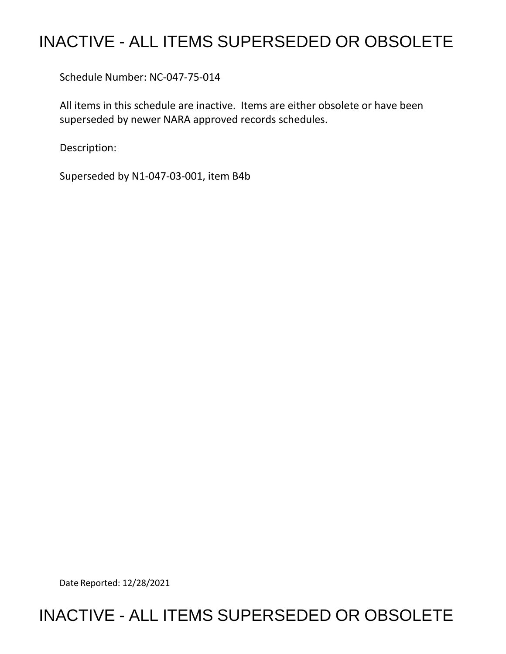## INACTIVE - ALL ITEMS SUPERSEDED OR OBSOLETE

Schedule Number: NC-047-75-014

All items in this schedule are inactive. Items are either obsolete or have been superseded by newer NARA approved records schedules.

Description:

Superseded by N1-047-03-001, item B4b

Date Reported: 12/28/2021

## INACTIVE - ALL ITEMS SUPERSEDED OR OBSOLETE